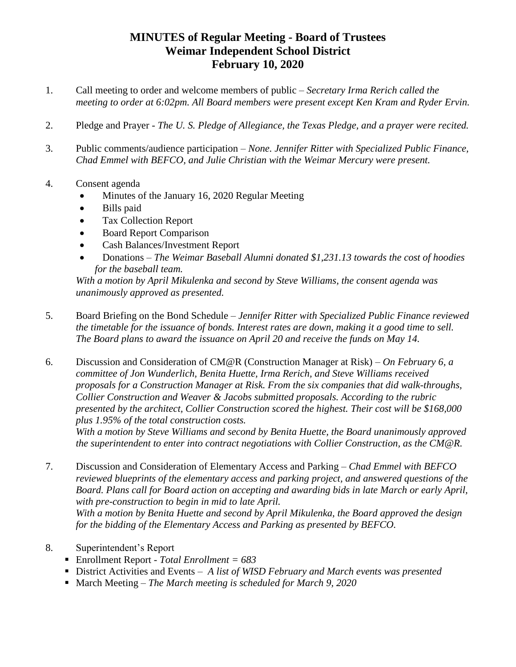## **MINUTES of Regular Meeting - Board of Trustees Weimar Independent School District February 10, 2020**

- 1. Call meeting to order and welcome members of public *Secretary Irma Rerich called the meeting to order at 6:02pm. All Board members were present except Ken Kram and Ryder Ervin.*
- 2. Pledge and Prayer *The U. S. Pledge of Allegiance, the Texas Pledge, and a prayer were recited.*
- 3. Public comments/audience participation *None. Jennifer Ritter with Specialized Public Finance, Chad Emmel with BEFCO, and Julie Christian with the Weimar Mercury were present.*
- 4. Consent agenda
	- Minutes of the January 16, 2020 Regular Meeting
	- Bills paid
	- Tax Collection Report
	- Board Report Comparison
	- Cash Balances/Investment Report
	- Donations *The Weimar Baseball Alumni donated \$1,231.13 towards the cost of hoodies for the baseball team.*

*With a motion by April Mikulenka and second by Steve Williams, the consent agenda was unanimously approved as presented.*

- 5. Board Briefing on the Bond Schedule *Jennifer Ritter with Specialized Public Finance reviewed the timetable for the issuance of bonds. Interest rates are down, making it a good time to sell. The Board plans to award the issuance on April 20 and receive the funds on May 14.*
- 6. Discussion and Consideration of CM@R (Construction Manager at Risk) *– On February 6, a committee of Jon Wunderlich, Benita Huette, Irma Rerich, and Steve Williams received proposals for a Construction Manager at Risk. From the six companies that did walk-throughs, Collier Construction and Weaver & Jacobs submitted proposals. According to the rubric presented by the architect, Collier Construction scored the highest. Their cost will be \$168,000 plus 1.95% of the total construction costs.*

*With a motion by Steve Williams and second by Benita Huette, the Board unanimously approved the superintendent to enter into contract negotiations with Collier Construction, as the CM@R.*

7. Discussion and Consideration of Elementary Access and Parking – *Chad Emmel with BEFCO reviewed blueprints of the elementary access and parking project, and answered questions of the Board. Plans call for Board action on accepting and awarding bids in late March or early April, with pre-construction to begin in mid to late April.*

*With a motion by Benita Huette and second by April Mikulenka, the Board approved the design for the bidding of the Elementary Access and Parking as presented by BEFCO.*

- 8. Superintendent's Report
	- Enrollment Report *- Total Enrollment = 683*
	- District Activities and Events *A list of WISD February and March events was presented*
	- March Meeting *The March meeting is scheduled for March 9, 2020*